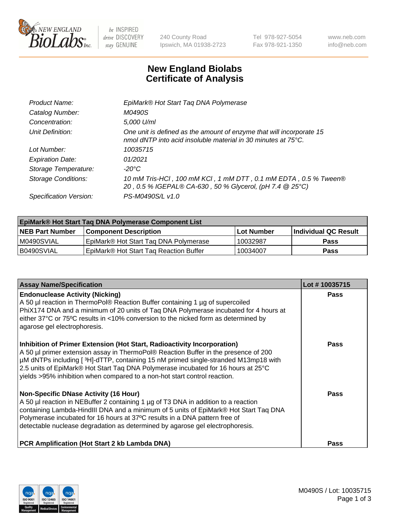

 $be$  INSPIRED drive DISCOVERY stay GENUINE

240 County Road Ipswich, MA 01938-2723 Tel 978-927-5054 Fax 978-921-1350 www.neb.com info@neb.com

## **New England Biolabs Certificate of Analysis**

| One unit is defined as the amount of enzyme that will incorporate 15 |
|----------------------------------------------------------------------|
|                                                                      |
|                                                                      |
|                                                                      |
| 10 mM Tris-HCl, 100 mM KCl, 1 mM DTT, 0.1 mM EDTA, 0.5 % Tween®      |
|                                                                      |
|                                                                      |

| <b>EpiMark® Hot Start Taq DNA Polymerase Component List</b> |                                        |              |                             |  |
|-------------------------------------------------------------|----------------------------------------|--------------|-----------------------------|--|
| <b>NEB Part Number</b>                                      | <b>Component Description</b>           | l Lot Number | <b>Individual QC Result</b> |  |
| I M0490SVIAL                                                | EpiMark® Hot Start Tag DNA Polymerase  | 10032987     | <b>Pass</b>                 |  |
| B0490SVIAL                                                  | EpiMark® Hot Start Tag Reaction Buffer | 10034007     | Pass                        |  |

| <b>Assay Name/Specification</b>                                                                                                                                                                                                                                                                                                                                                                                        | Lot #10035715 |
|------------------------------------------------------------------------------------------------------------------------------------------------------------------------------------------------------------------------------------------------------------------------------------------------------------------------------------------------------------------------------------------------------------------------|---------------|
| <b>Endonuclease Activity (Nicking)</b><br>A 50 µl reaction in ThermoPol® Reaction Buffer containing 1 µg of supercoiled<br>PhiX174 DNA and a minimum of 20 units of Taq DNA Polymerase incubated for 4 hours at<br>either 37°C or 75°C results in <10% conversion to the nicked form as determined by<br>agarose gel electrophoresis.                                                                                  | <b>Pass</b>   |
| Inhibition of Primer Extension (Hot Start, Radioactivity Incorporation)<br>A 50 µl primer extension assay in ThermoPol® Reaction Buffer in the presence of 200<br>µM dNTPs including [3H]-dTTP, containing 15 nM primed single-stranded M13mp18 with<br>2.5 units of EpiMark® Hot Start Taq DNA Polymerase incubated for 16 hours at 25°C<br>yields >95% inhibition when compared to a non-hot start control reaction. | <b>Pass</b>   |
| <b>Non-Specific DNase Activity (16 Hour)</b><br>A 50 µl reaction in NEBuffer 2 containing 1 µg of T3 DNA in addition to a reaction<br>containing Lambda-HindIII DNA and a minimum of 5 units of EpiMark® Hot Start Taq DNA<br>Polymerase incubated for 16 hours at 37°C results in a DNA pattern free of<br>detectable nuclease degradation as determined by agarose gel electrophoresis.                              | Pass          |
| PCR Amplification (Hot Start 2 kb Lambda DNA)                                                                                                                                                                                                                                                                                                                                                                          | <b>Pass</b>   |

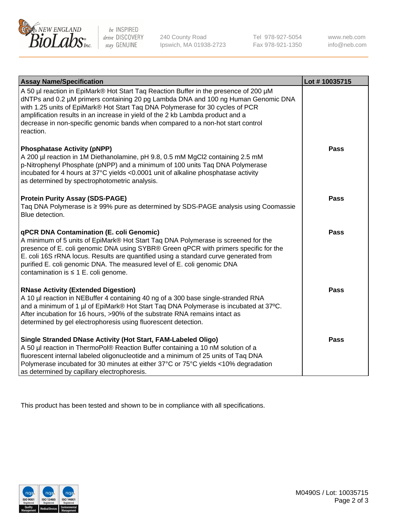

 $be$  INSPIRED drive DISCOVERY stay GENUINE

240 County Road Ipswich, MA 01938-2723 Tel 978-927-5054 Fax 978-921-1350 www.neb.com info@neb.com

| <b>Assay Name/Specification</b>                                                                                                                                                                                                                                                                                                                                                                                                              | Lot #10035715 |
|----------------------------------------------------------------------------------------------------------------------------------------------------------------------------------------------------------------------------------------------------------------------------------------------------------------------------------------------------------------------------------------------------------------------------------------------|---------------|
| A 50 µl reaction in EpiMark® Hot Start Taq Reaction Buffer in the presence of 200 µM<br>dNTPs and 0.2 µM primers containing 20 pg Lambda DNA and 100 ng Human Genomic DNA<br>with 1.25 units of EpiMark® Hot Start Taq DNA Polymerase for 30 cycles of PCR<br>amplification results in an increase in yield of the 2 kb Lambda product and a<br>decrease in non-specific genomic bands when compared to a non-hot start control<br>reaction. |               |
| <b>Phosphatase Activity (pNPP)</b><br>A 200 µl reaction in 1M Diethanolamine, pH 9.8, 0.5 mM MgCl2 containing 2.5 mM<br>p-Nitrophenyl Phosphate (pNPP) and a minimum of 100 units Taq DNA Polymerase<br>incubated for 4 hours at 37°C yields <0.0001 unit of alkaline phosphatase activity<br>as determined by spectrophotometric analysis.                                                                                                  | <b>Pass</b>   |
| <b>Protein Purity Assay (SDS-PAGE)</b><br>Taq DNA Polymerase is ≥ 99% pure as determined by SDS-PAGE analysis using Coomassie<br>Blue detection.                                                                                                                                                                                                                                                                                             | <b>Pass</b>   |
| qPCR DNA Contamination (E. coli Genomic)<br>A minimum of 5 units of EpiMark® Hot Start Taq DNA Polymerase is screened for the<br>presence of E. coli genomic DNA using SYBR® Green qPCR with primers specific for the<br>E. coli 16S rRNA locus. Results are quantified using a standard curve generated from<br>purified E. coli genomic DNA. The measured level of E. coli genomic DNA<br>contamination is $\leq 1$ E. coli genome.        | <b>Pass</b>   |
| <b>RNase Activity (Extended Digestion)</b><br>A 10 µl reaction in NEBuffer 4 containing 40 ng of a 300 base single-stranded RNA<br>and a minimum of 1 µl of EpiMark® Hot Start Taq DNA Polymerase is incubated at 37°C.<br>After incubation for 16 hours, >90% of the substrate RNA remains intact as<br>determined by gel electrophoresis using fluorescent detection.                                                                      | <b>Pass</b>   |
| Single Stranded DNase Activity (Hot Start, FAM-Labeled Oligo)<br>A 50 µl reaction in ThermoPol® Reaction Buffer containing a 10 nM solution of a<br>fluorescent internal labeled oligonucleotide and a minimum of 25 units of Taq DNA<br>Polymerase incubated for 30 minutes at either 37°C or 75°C yields <10% degradation<br>as determined by capillary electrophoresis.                                                                   | <b>Pass</b>   |

This product has been tested and shown to be in compliance with all specifications.